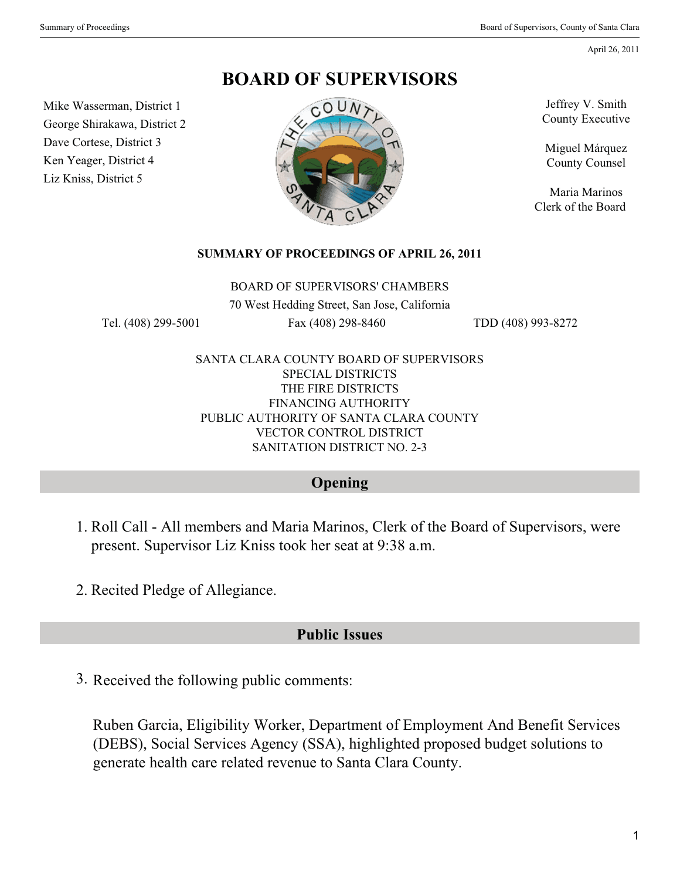April 26, 2011

**BOARD OF SUPERVISORS**

Mike Wasserman, District 1 George Shirakawa, District 2 Dave Cortese, District 3 Ken Yeager, District 4 Liz Kniss, District 5



Jeffrey V. Smith County Executive

Miguel Márquez County Counsel

Maria Marinos Clerk of the Board

#### **SUMMARY OF PROCEEDINGS OF APRIL 26, 2011**

BOARD OF SUPERVISORS' CHAMBERS

70 West Hedding Street, San Jose, California

Tel. (408) 299-5001 Fax (408) 298-8460 TDD (408) 993-8272

SANTA CLARA COUNTY BOARD OF SUPERVISORS SPECIAL DISTRICTS THE FIRE DISTRICTS FINANCING AUTHORITY PUBLIC AUTHORITY OF SANTA CLARA COUNTY VECTOR CONTROL DISTRICT SANITATION DISTRICT NO. 2-3

### **Opening**

- 1. Roll Call All members and Maria Marinos, Clerk of the Board of Supervisors, were present. Supervisor Liz Kniss took her seat at 9:38 a.m.
- 2. Recited Pledge of Allegiance.

### **Public Issues**

3. Received the following public comments:

Ruben Garcia, Eligibility Worker, Department of Employment And Benefit Services (DEBS), Social Services Agency (SSA), highlighted proposed budget solutions to generate health care related revenue to Santa Clara County.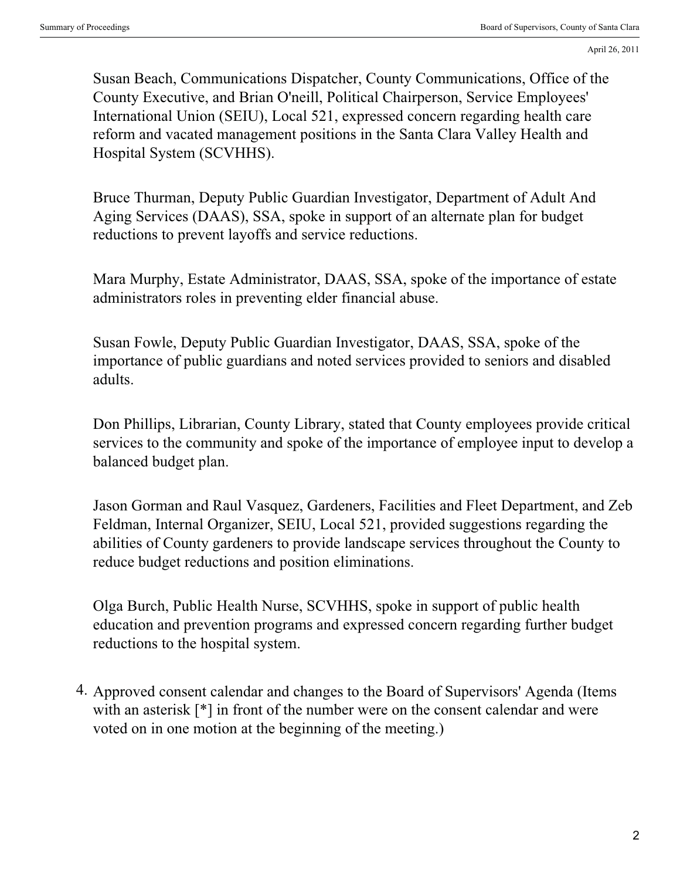Susan Beach, Communications Dispatcher, County Communications, Office of the County Executive, and Brian O'neill, Political Chairperson, Service Employees' International Union (SEIU), Local 521, expressed concern regarding health care reform and vacated management positions in the Santa Clara Valley Health and Hospital System (SCVHHS).

Bruce Thurman, Deputy Public Guardian Investigator, Department of Adult And Aging Services (DAAS), SSA, spoke in support of an alternate plan for budget reductions to prevent layoffs and service reductions.

Mara Murphy, Estate Administrator, DAAS, SSA, spoke of the importance of estate administrators roles in preventing elder financial abuse.

Susan Fowle, Deputy Public Guardian Investigator, DAAS, SSA, spoke of the importance of public guardians and noted services provided to seniors and disabled adults.

Don Phillips, Librarian, County Library, stated that County employees provide critical services to the community and spoke of the importance of employee input to develop a balanced budget plan.

Jason Gorman and Raul Vasquez, Gardeners, Facilities and Fleet Department, and Zeb Feldman, Internal Organizer, SEIU, Local 521, provided suggestions regarding the abilities of County gardeners to provide landscape services throughout the County to reduce budget reductions and position eliminations.

Olga Burch, Public Health Nurse, SCVHHS, spoke in support of public health education and prevention programs and expressed concern regarding further budget reductions to the hospital system.

4. Approved consent calendar and changes to the Board of Supervisors' Agenda (Items with an asterisk  $[$ <sup>\*</sup> $]$  in front of the number were on the consent calendar and were voted on in one motion at the beginning of the meeting.)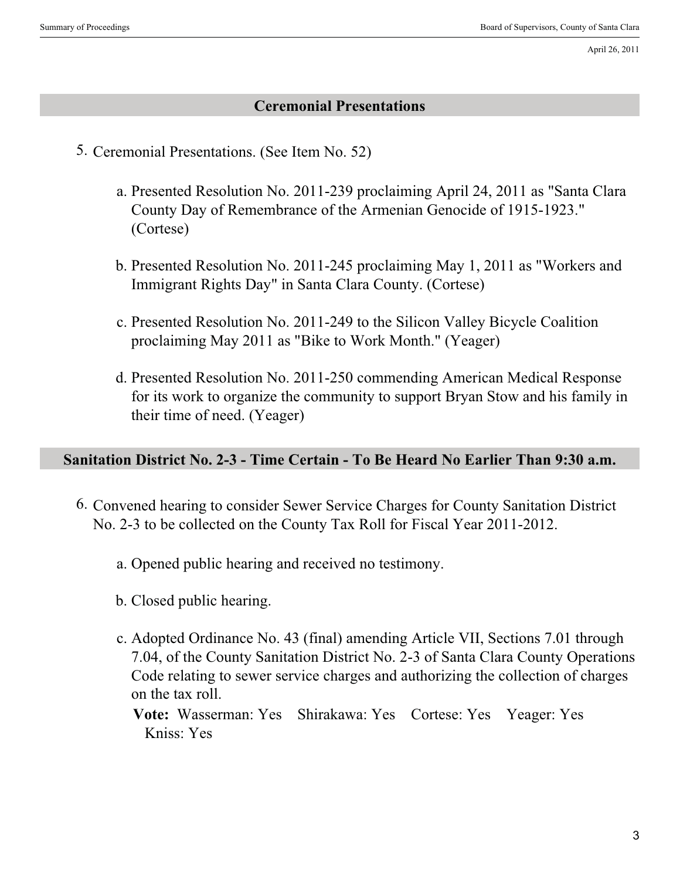April 26, 2011

### **Ceremonial Presentations**

- 5. Ceremonial Presentations. (See Item No. 52)
	- a. Presented Resolution No. 2011-239 proclaiming April 24, 2011 as "Santa Clara County Day of Remembrance of the Armenian Genocide of 1915-1923." (Cortese)
	- b. Presented Resolution No. 2011-245 proclaiming May 1, 2011 as "Workers and Immigrant Rights Day" in Santa Clara County. (Cortese)
	- c. Presented Resolution No. 2011-249 to the Silicon Valley Bicycle Coalition proclaiming May 2011 as "Bike to Work Month." (Yeager)
	- d. Presented Resolution No. 2011-250 commending American Medical Response for its work to organize the community to support Bryan Stow and his family in their time of need. (Yeager)

### **Sanitation District No. 2-3 - Time Certain - To Be Heard No Earlier Than 9:30 a.m.**

- 6. Convened hearing to consider Sewer Service Charges for County Sanitation District No. 2-3 to be collected on the County Tax Roll for Fiscal Year 2011-2012.
	- a. Opened public hearing and received no testimony.
	- b. Closed public hearing.
	- Adopted Ordinance No. 43 (final) amending Article VII, Sections 7.01 through c. 7.04, of the County Sanitation District No. 2-3 of Santa Clara County Operations Code relating to sewer service charges and authorizing the collection of charges on the tax roll.
		- **Vote:** Wasserman: Yes Shirakawa: Yes Cortese: Yes Yeager: Yes Kniss: Yes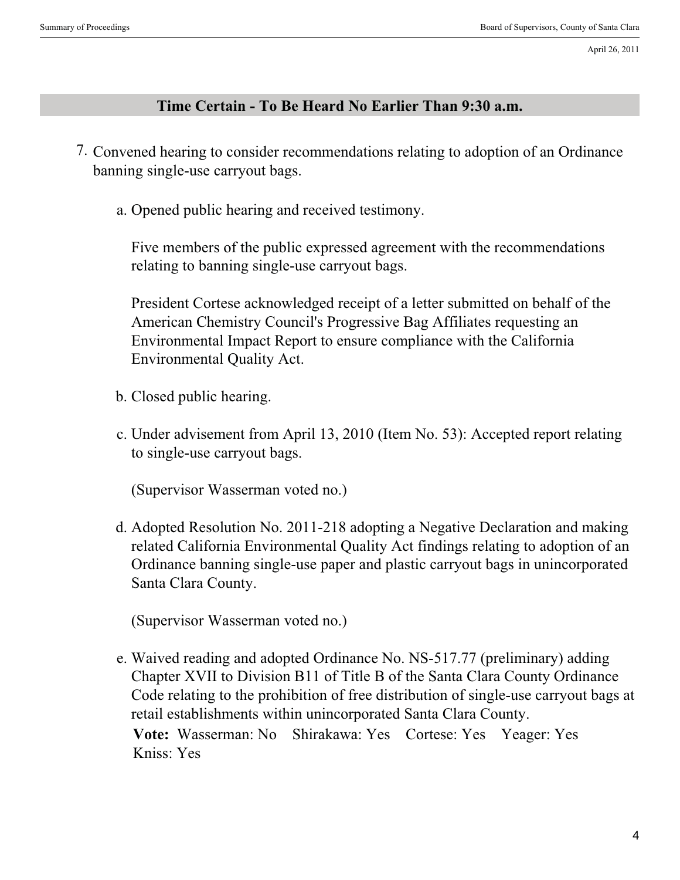#### **Time Certain - To Be Heard No Earlier Than 9:30 a.m.**

- 7. Convened hearing to consider recommendations relating to adoption of an Ordinance banning single-use carryout bags.
	- a. Opened public hearing and received testimony.

Five members of the public expressed agreement with the recommendations relating to banning single-use carryout bags.

President Cortese acknowledged receipt of a letter submitted on behalf of the American Chemistry Council's Progressive Bag Affiliates requesting an Environmental Impact Report to ensure compliance with the California Environmental Quality Act.

- b. Closed public hearing.
- c. Under advisement from April 13, 2010 (Item No. 53): Accepted report relating to single-use carryout bags.

(Supervisor Wasserman voted no.)

Adopted Resolution No. 2011-218 adopting a Negative Declaration and making d. related California Environmental Quality Act findings relating to adoption of an Ordinance banning single-use paper and plastic carryout bags in unincorporated Santa Clara County.

(Supervisor Wasserman voted no.)

Waived reading and adopted Ordinance No. NS-517.77 (preliminary) adding e. Chapter XVII to Division B11 of Title B of the Santa Clara County Ordinance Code relating to the prohibition of free distribution of single-use carryout bags at retail establishments within unincorporated Santa Clara County. **Vote:** Wasserman: No Shirakawa: Yes Cortese: Yes Yeager: Yes Kniss: Yes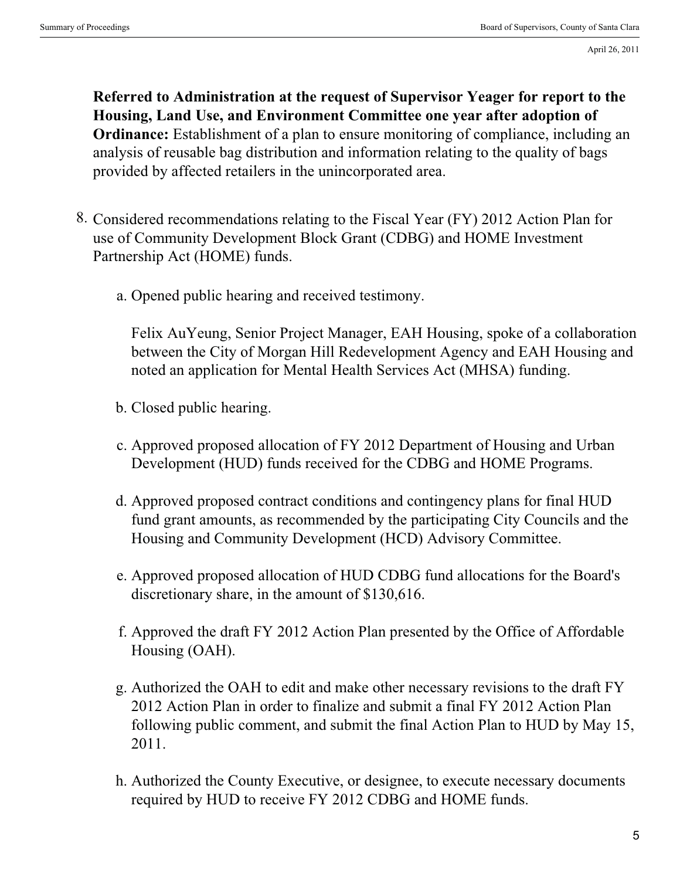April 26, 2011

**Referred to Administration at the request of Supervisor Yeager for report to the Housing, Land Use, and Environment Committee one year after adoption of Ordinance:** Establishment of a plan to ensure monitoring of compliance, including an analysis of reusable bag distribution and information relating to the quality of bags provided by affected retailers in the unincorporated area.

- 8. Considered recommendations relating to the Fiscal Year (FY) 2012 Action Plan for use of Community Development Block Grant (CDBG) and HOME Investment Partnership Act (HOME) funds.
	- a. Opened public hearing and received testimony.

Felix AuYeung, Senior Project Manager, EAH Housing, spoke of a collaboration between the City of Morgan Hill Redevelopment Agency and EAH Housing and noted an application for Mental Health Services Act (MHSA) funding.

- b. Closed public hearing.
- c. Approved proposed allocation of FY 2012 Department of Housing and Urban Development (HUD) funds received for the CDBG and HOME Programs.
- d. Approved proposed contract conditions and contingency plans for final HUD fund grant amounts, as recommended by the participating City Councils and the Housing and Community Development (HCD) Advisory Committee.
- Approved proposed allocation of HUD CDBG fund allocations for the Board's e. discretionary share, in the amount of \$130,616.
- f. Approved the draft FY 2012 Action Plan presented by the Office of Affordable Housing (OAH).
- Authorized the OAH to edit and make other necessary revisions to the draft FY g. 2012 Action Plan in order to finalize and submit a final FY 2012 Action Plan following public comment, and submit the final Action Plan to HUD by May 15, 2011.
- Authorized the County Executive, or designee, to execute necessary documents h. required by HUD to receive FY 2012 CDBG and HOME funds.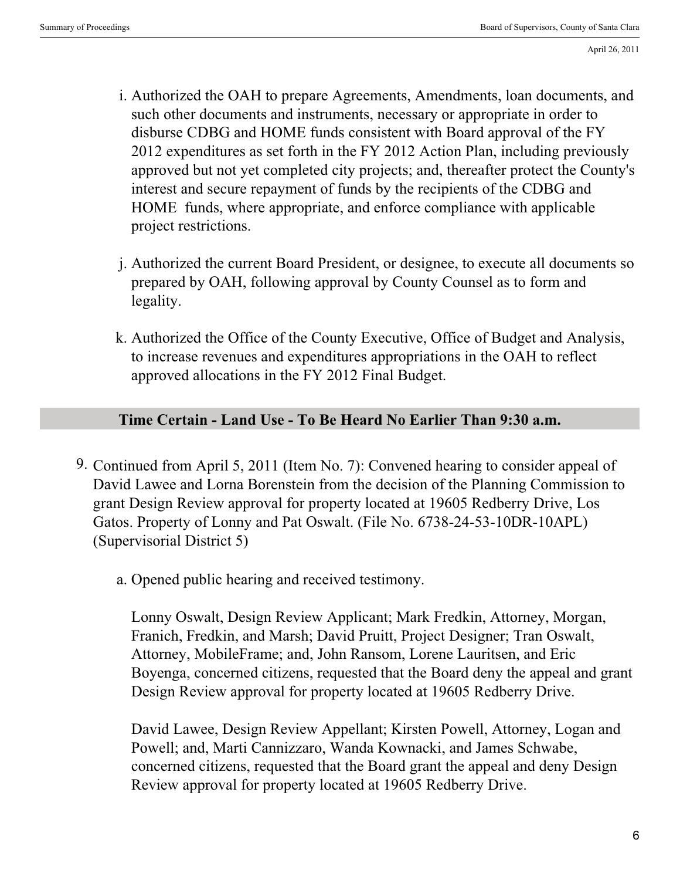- Authorized the OAH to prepare Agreements, Amendments, loan documents, and i. such other documents and instruments, necessary or appropriate in order to disburse CDBG and HOME funds consistent with Board approval of the FY 2012 expenditures as set forth in the FY 2012 Action Plan, including previously approved but not yet completed city projects; and, thereafter protect the County's interest and secure repayment of funds by the recipients of the CDBG and HOME funds, where appropriate, and enforce compliance with applicable project restrictions.
- Authorized the current Board President, or designee, to execute all documents so j. prepared by OAH, following approval by County Counsel as to form and legality.
- k. Authorized the Office of the County Executive, Office of Budget and Analysis, to increase revenues and expenditures appropriations in the OAH to reflect approved allocations in the FY 2012 Final Budget.

## **Time Certain - Land Use - To Be Heard No Earlier Than 9:30 a.m.**

- 9. Continued from April 5, 2011 (Item No. 7): Convened hearing to consider appeal of David Lawee and Lorna Borenstein from the decision of the Planning Commission to grant Design Review approval for property located at 19605 Redberry Drive, Los Gatos. Property of Lonny and Pat Oswalt. (File No. 6738-24-53-10DR-10APL) (Supervisorial District 5)
	- a. Opened public hearing and received testimony.

Lonny Oswalt, Design Review Applicant; Mark Fredkin, Attorney, Morgan, Franich, Fredkin, and Marsh; David Pruitt, Project Designer; Tran Oswalt, Attorney, MobileFrame; and, John Ransom, Lorene Lauritsen, and Eric Boyenga, concerned citizens, requested that the Board deny the appeal and grant Design Review approval for property located at 19605 Redberry Drive.

David Lawee, Design Review Appellant; Kirsten Powell, Attorney, Logan and Powell; and, Marti Cannizzaro, Wanda Kownacki, and James Schwabe, concerned citizens, requested that the Board grant the appeal and deny Design Review approval for property located at 19605 Redberry Drive.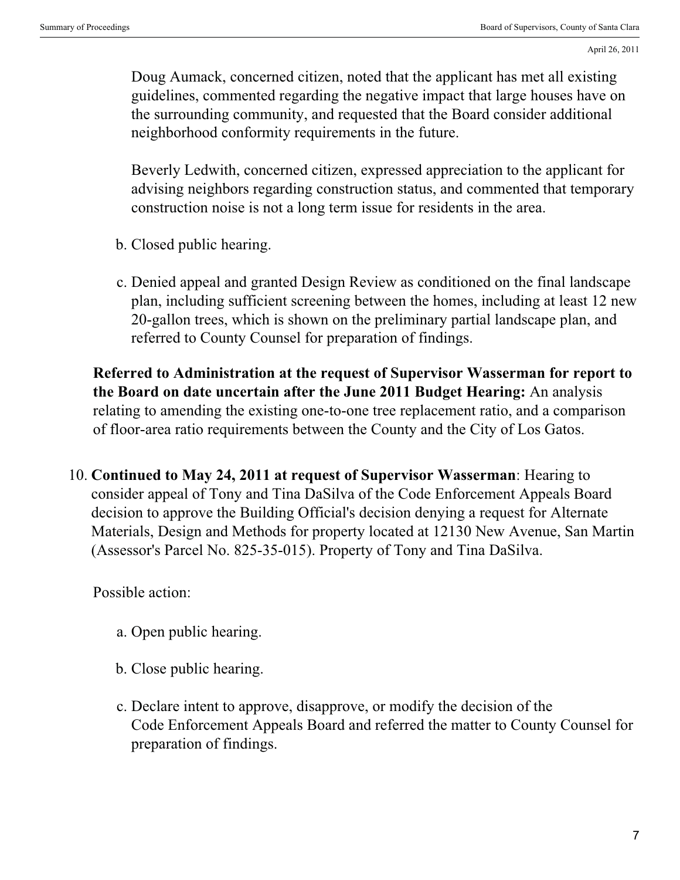Doug Aumack, concerned citizen, noted that the applicant has met all existing guidelines, commented regarding the negative impact that large houses have on the surrounding community, and requested that the Board consider additional neighborhood conformity requirements in the future.

Beverly Ledwith, concerned citizen, expressed appreciation to the applicant for advising neighbors regarding construction status, and commented that temporary construction noise is not a long term issue for residents in the area.

- b. Closed public hearing.
- c. Denied appeal and granted Design Review as conditioned on the final landscape plan, including sufficient screening between the homes, including at least 12 new 20-gallon trees, which is shown on the preliminary partial landscape plan, and referred to County Counsel for preparation of findings.

**Referred to Administration at the request of Supervisor Wasserman for report to the Board on date uncertain after the June 2011 Budget Hearing:** An analysis relating to amending the existing one-to-one tree replacement ratio, and a comparison of floor-area ratio requirements between the County and the City of Los Gatos.

10. **Continued to May 24, 2011 at request of Supervisor Wasserman**: Hearing to consider appeal of Tony and Tina DaSilva of the Code Enforcement Appeals Board decision to approve the Building Official's decision denying a request for Alternate Materials, Design and Methods for property located at 12130 New Avenue, San Martin (Assessor's Parcel No. 825-35-015). Property of Tony and Tina DaSilva.

Possible action:

- a. Open public hearing.
- b. Close public hearing.
- c. Declare intent to approve, disapprove, or modify the decision of the Code Enforcement Appeals Board and referred the matter to County Counsel for preparation of findings.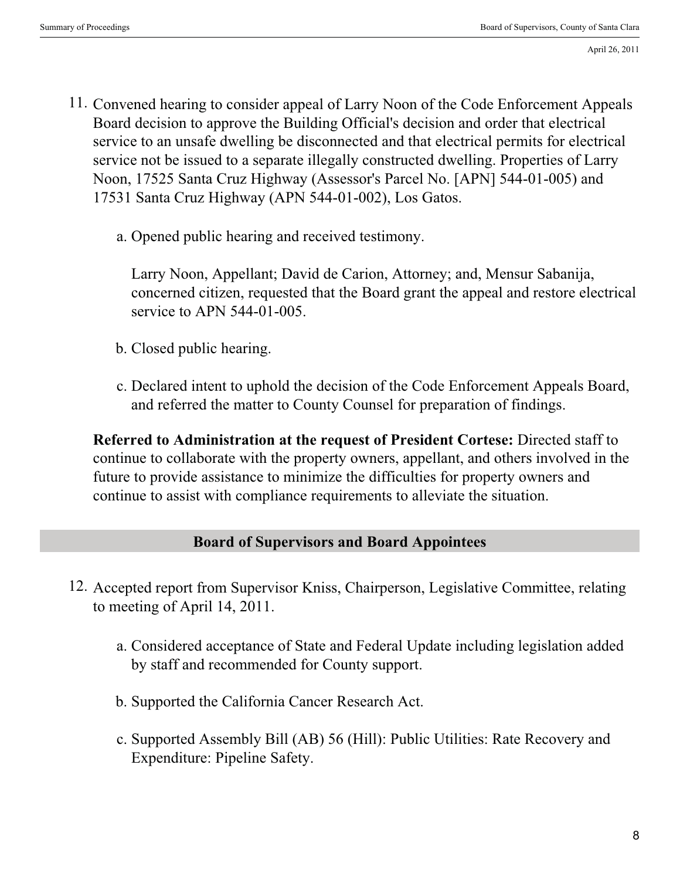- 11. Convened hearing to consider appeal of Larry Noon of the Code Enforcement Appeals Board decision to approve the Building Official's decision and order that electrical service to an unsafe dwelling be disconnected and that electrical permits for electrical service not be issued to a separate illegally constructed dwelling. Properties of Larry Noon, 17525 Santa Cruz Highway (Assessor's Parcel No. [APN] 544-01-005) and 17531 Santa Cruz Highway (APN 544-01-002), Los Gatos.
	- a. Opened public hearing and received testimony.

Larry Noon, Appellant; David de Carion, Attorney; and, Mensur Sabanija, concerned citizen, requested that the Board grant the appeal and restore electrical service to APN 544-01-005.

- b. Closed public hearing.
- c. Declared intent to uphold the decision of the Code Enforcement Appeals Board, and referred the matter to County Counsel for preparation of findings.

**Referred to Administration at the request of President Cortese:** Directed staff to continue to collaborate with the property owners, appellant, and others involved in the future to provide assistance to minimize the difficulties for property owners and continue to assist with compliance requirements to alleviate the situation.

#### **Board of Supervisors and Board Appointees**

- 12. Accepted report from Supervisor Kniss, Chairperson, Legislative Committee, relating to meeting of April 14, 2011.
	- Considered acceptance of State and Federal Update including legislation added a. by staff and recommended for County support.
	- b. Supported the California Cancer Research Act.
	- c. Supported Assembly Bill (AB) 56 (Hill): Public Utilities: Rate Recovery and Expenditure: Pipeline Safety.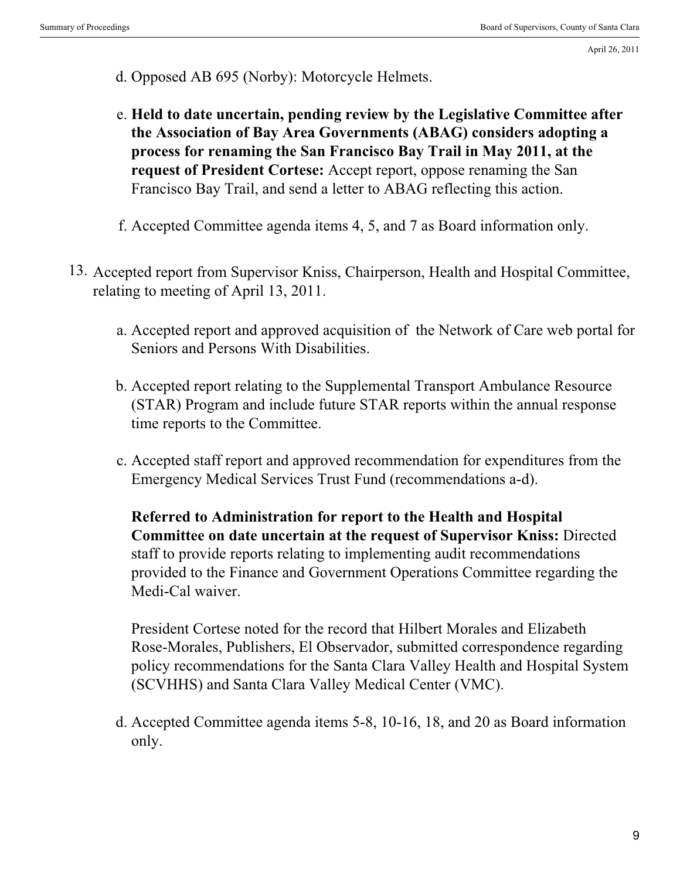- d. Opposed AB 695 (Norby): Motorcycle Helmets.
- **Held to date uncertain, pending review by the Legislative Committee after** e. **the Association of Bay Area Governments (ABAG) considers adopting a process for renaming the San Francisco Bay Trail in May 2011, at the request of President Cortese:** Accept report, oppose renaming the San Francisco Bay Trail, and send a letter to ABAG reflecting this action.
- f. Accepted Committee agenda items 4, 5, and 7 as Board information only.
- 13. Accepted report from Supervisor Kniss, Chairperson, Health and Hospital Committee, relating to meeting of April 13, 2011.
	- Accepted report and approved acquisition of the Network of Care web portal for a. Seniors and Persons With Disabilities.
	- b. Accepted report relating to the Supplemental Transport Ambulance Resource (STAR) Program and include future STAR reports within the annual response time reports to the Committee.
	- Accepted staff report and approved recommendation for expenditures from the c. Emergency Medical Services Trust Fund (recommendations a-d).

**Referred to Administration for report to the Health and Hospital Committee on date uncertain at the request of Supervisor Kniss:** Directed staff to provide reports relating to implementing audit recommendations provided to the Finance and Government Operations Committee regarding the Medi-Cal waiver.

President Cortese noted for the record that Hilbert Morales and Elizabeth Rose-Morales, Publishers, El Observador, submitted correspondence regarding policy recommendations for the Santa Clara Valley Health and Hospital System (SCVHHS) and Santa Clara Valley Medical Center (VMC).

Accepted Committee agenda items 5-8, 10-16, 18, and 20 as Board information d. only.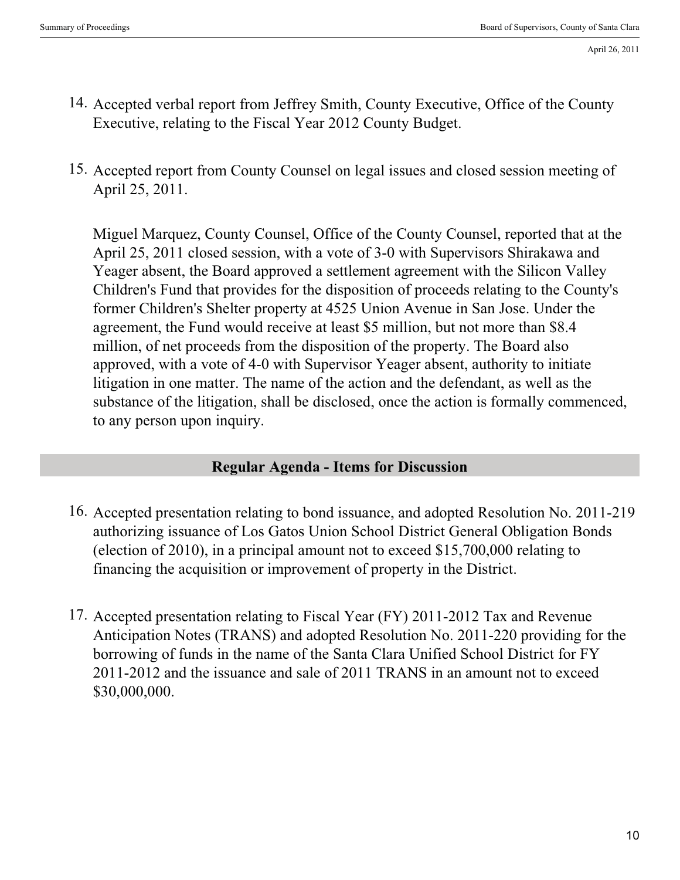- 14. Accepted verbal report from Jeffrey Smith, County Executive, Office of the County Executive, relating to the Fiscal Year 2012 County Budget.
- 15. Accepted report from County Counsel on legal issues and closed session meeting of April 25, 2011.

Miguel Marquez, County Counsel, Office of the County Counsel, reported that at the April 25, 2011 closed session, with a vote of 3-0 with Supervisors Shirakawa and Yeager absent, the Board approved a settlement agreement with the Silicon Valley Children's Fund that provides for the disposition of proceeds relating to the County's former Children's Shelter property at 4525 Union Avenue in San Jose. Under the agreement, the Fund would receive at least \$5 million, but not more than \$8.4 million, of net proceeds from the disposition of the property. The Board also approved, with a vote of 4-0 with Supervisor Yeager absent, authority to initiate litigation in one matter. The name of the action and the defendant, as well as the substance of the litigation, shall be disclosed, once the action is formally commenced, to any person upon inquiry.

### **Regular Agenda - Items for Discussion**

- 16. Accepted presentation relating to bond issuance, and adopted Resolution No. 2011-219 authorizing issuance of Los Gatos Union School District General Obligation Bonds (election of 2010), in a principal amount not to exceed \$15,700,000 relating to financing the acquisition or improvement of property in the District.
- 17. Accepted presentation relating to Fiscal Year (FY) 2011-2012 Tax and Revenue Anticipation Notes (TRANS) and adopted Resolution No. 2011-220 providing for the borrowing of funds in the name of the Santa Clara Unified School District for FY 2011-2012 and the issuance and sale of 2011 TRANS in an amount not to exceed \$30,000,000.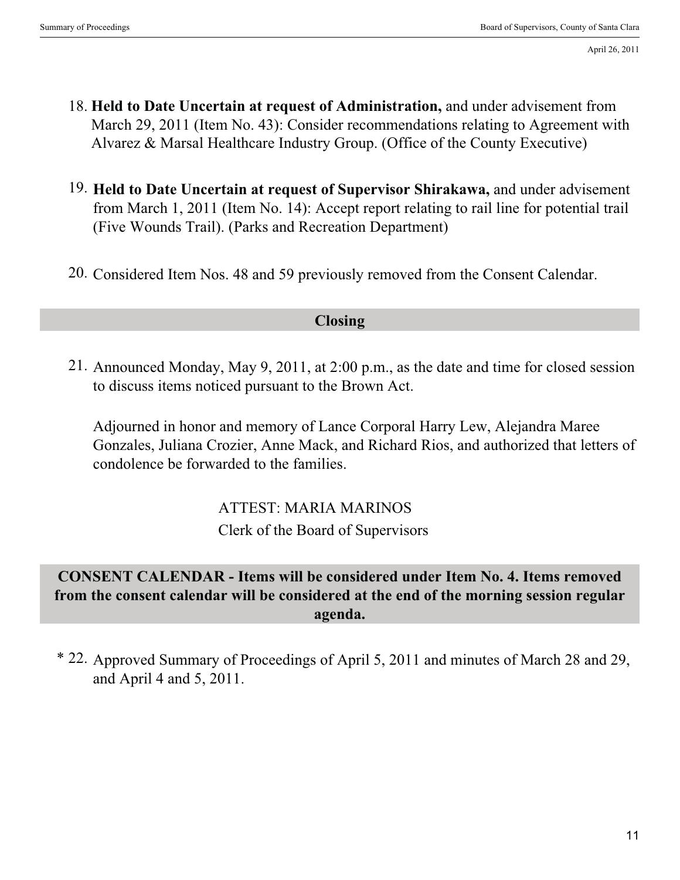- 18. **Held to Date Uncertain at request of Administration,** and under advisement from March 29, 2011 (Item No. 43): Consider recommendations relating to Agreement with Alvarez & Marsal Healthcare Industry Group. (Office of the County Executive)
- 19. **Held to Date Uncertain at request of Supervisor Shirakawa,** and under advisement from March 1, 2011 (Item No. 14): Accept report relating to rail line for potential trail (Five Wounds Trail). (Parks and Recreation Department)
- 20. Considered Item Nos. 48 and 59 previously removed from the Consent Calendar.

### **Closing**

21. Announced Monday, May 9, 2011, at 2:00 p.m., as the date and time for closed session to discuss items noticed pursuant to the Brown Act.

Adjourned in honor and memory of Lance Corporal Harry Lew, Alejandra Maree Gonzales, Juliana Crozier, Anne Mack, and Richard Rios, and authorized that letters of condolence be forwarded to the families.

> . ATTEST: MARIA MARINOS . Clerk of the Board of Supervisors

# **CONSENT CALENDAR - Items will be considered under Item No. 4. Items removed from the consent calendar will be considered at the end of the morning session regular agenda.**

\* 22. Approved Summary of Proceedings of April 5, 2011 and minutes of March 28 and 29, and April 4 and 5, 2011.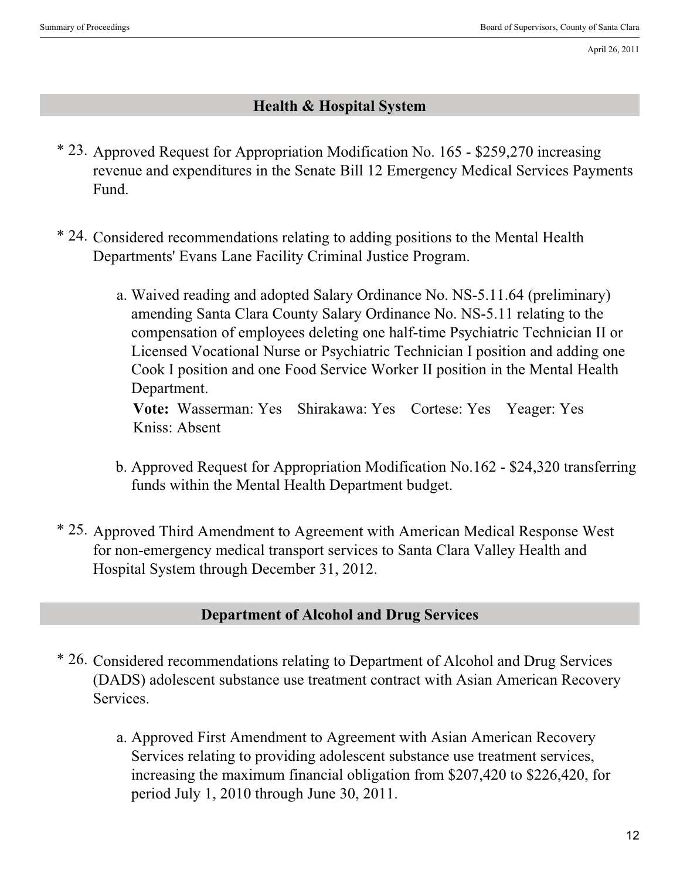# **Health & Hospital System**

- \* 23. Approved Request for Appropriation Modification No. 165 \$259,270 increasing revenue and expenditures in the Senate Bill 12 Emergency Medical Services Payments Fund.
- \* 24. Considered recommendations relating to adding positions to the Mental Health Departments' Evans Lane Facility Criminal Justice Program.
	- Waived reading and adopted Salary Ordinance No. NS-5.11.64 (preliminary) a. amending Santa Clara County Salary Ordinance No. NS-5.11 relating to the compensation of employees deleting one half-time Psychiatric Technician II or Licensed Vocational Nurse or Psychiatric Technician I position and adding one Cook I position and one Food Service Worker II position in the Mental Health Department.

**Vote:** Wasserman: Yes Shirakawa: Yes Cortese: Yes Yeager: Yes Kniss: Absent

- b. Approved Request for Appropriation Modification No.162 \$24,320 transferring funds within the Mental Health Department budget.
- \* 25. Approved Third Amendment to Agreement with American Medical Response West for non-emergency medical transport services to Santa Clara Valley Health and Hospital System through December 31, 2012.

### **Department of Alcohol and Drug Services**

- \* 26. Considered recommendations relating to Department of Alcohol and Drug Services (DADS) adolescent substance use treatment contract with Asian American Recovery Services.
	- a. Approved First Amendment to Agreement with Asian American Recovery Services relating to providing adolescent substance use treatment services, increasing the maximum financial obligation from \$207,420 to \$226,420, for period July 1, 2010 through June 30, 2011.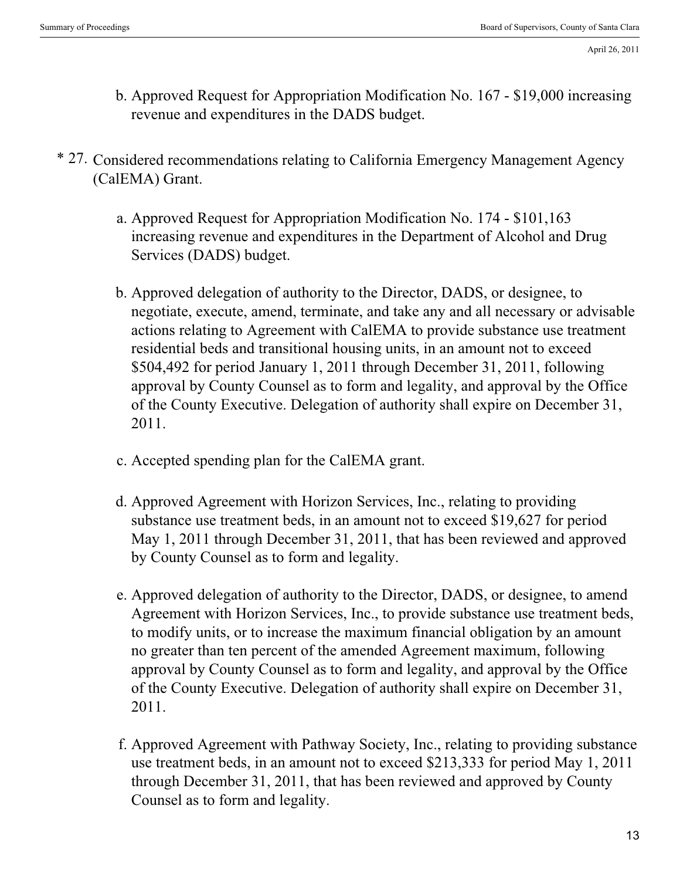- b. Approved Request for Appropriation Modification No. 167 \$19,000 increasing revenue and expenditures in the DADS budget.
- \* 27. Considered recommendations relating to California Emergency Management Agency (CalEMA) Grant.
	- Approved Request for Appropriation Modification No. 174 \$101,163 a. increasing revenue and expenditures in the Department of Alcohol and Drug Services (DADS) budget.
	- b. Approved delegation of authority to the Director, DADS, or designee, to negotiate, execute, amend, terminate, and take any and all necessary or advisable actions relating to Agreement with CalEMA to provide substance use treatment residential beds and transitional housing units, in an amount not to exceed \$504,492 for period January 1, 2011 through December 31, 2011, following approval by County Counsel as to form and legality, and approval by the Office of the County Executive. Delegation of authority shall expire on December 31, 2011.
	- c. Accepted spending plan for the CalEMA grant.
	- d. Approved Agreement with Horizon Services, Inc., relating to providing substance use treatment beds, in an amount not to exceed \$19,627 for period May 1, 2011 through December 31, 2011, that has been reviewed and approved by County Counsel as to form and legality.
	- e. Approved delegation of authority to the Director, DADS, or designee, to amend Agreement with Horizon Services, Inc., to provide substance use treatment beds, to modify units, or to increase the maximum financial obligation by an amount no greater than ten percent of the amended Agreement maximum, following approval by County Counsel as to form and legality, and approval by the Office of the County Executive. Delegation of authority shall expire on December 31, 2011.
	- f. Approved Agreement with Pathway Society, Inc., relating to providing substance use treatment beds, in an amount not to exceed \$213,333 for period May 1, 2011 through December 31, 2011, that has been reviewed and approved by County Counsel as to form and legality.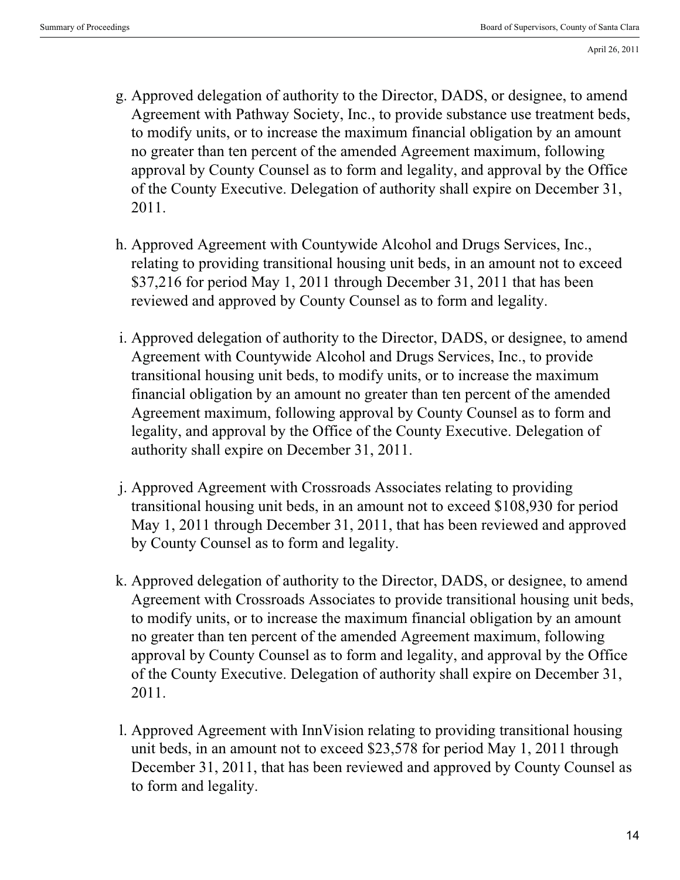- Approved delegation of authority to the Director, DADS, or designee, to amend g. Agreement with Pathway Society, Inc., to provide substance use treatment beds, to modify units, or to increase the maximum financial obligation by an amount no greater than ten percent of the amended Agreement maximum, following approval by County Counsel as to form and legality, and approval by the Office of the County Executive. Delegation of authority shall expire on December 31, 2011.
- h. Approved Agreement with Countywide Alcohol and Drugs Services, Inc., relating to providing transitional housing unit beds, in an amount not to exceed \$37,216 for period May 1, 2011 through December 31, 2011 that has been reviewed and approved by County Counsel as to form and legality.
- i. Approved delegation of authority to the Director, DADS, or designee, to amend Agreement with Countywide Alcohol and Drugs Services, Inc., to provide transitional housing unit beds, to modify units, or to increase the maximum financial obligation by an amount no greater than ten percent of the amended Agreement maximum, following approval by County Counsel as to form and legality, and approval by the Office of the County Executive. Delegation of authority shall expire on December 31, 2011.
- Approved Agreement with Crossroads Associates relating to providing j. transitional housing unit beds, in an amount not to exceed \$108,930 for period May 1, 2011 through December 31, 2011, that has been reviewed and approved by County Counsel as to form and legality.
- k. Approved delegation of authority to the Director, DADS, or designee, to amend Agreement with Crossroads Associates to provide transitional housing unit beds, to modify units, or to increase the maximum financial obligation by an amount no greater than ten percent of the amended Agreement maximum, following approval by County Counsel as to form and legality, and approval by the Office of the County Executive. Delegation of authority shall expire on December 31, 2011.
- l. Approved Agreement with InnVision relating to providing transitional housing unit beds, in an amount not to exceed \$23,578 for period May 1, 2011 through December 31, 2011, that has been reviewed and approved by County Counsel as to form and legality.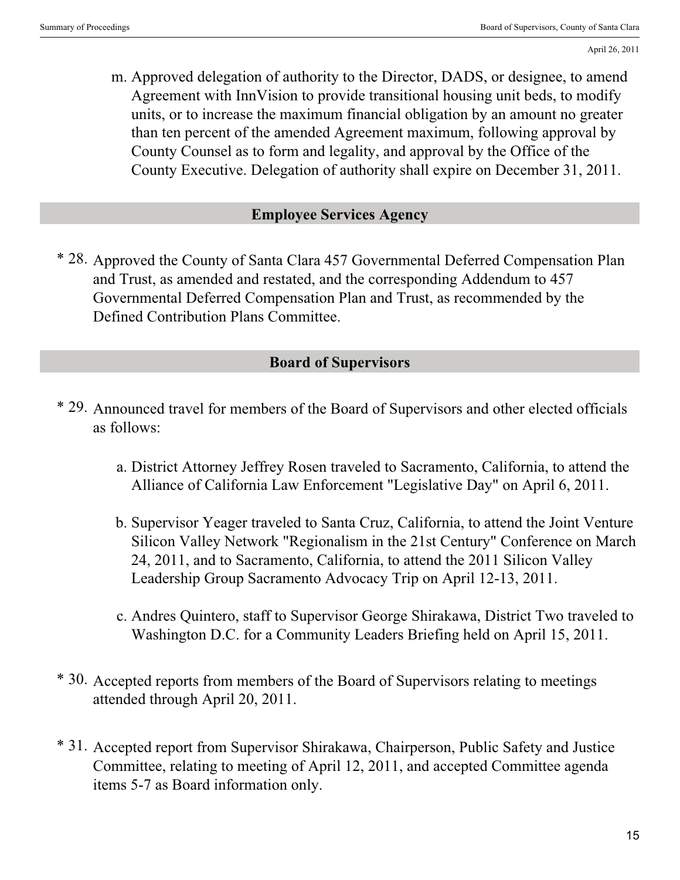Approved delegation of authority to the Director, DADS, or designee, to amend m. Agreement with InnVision to provide transitional housing unit beds, to modify units, or to increase the maximum financial obligation by an amount no greater than ten percent of the amended Agreement maximum, following approval by County Counsel as to form and legality, and approval by the Office of the County Executive. Delegation of authority shall expire on December 31, 2011.

#### **Employee Services Agency**

\* 28. Approved the County of Santa Clara 457 Governmental Deferred Compensation Plan and Trust, as amended and restated, and the corresponding Addendum to 457 Governmental Deferred Compensation Plan and Trust, as recommended by the Defined Contribution Plans Committee.

## **Board of Supervisors**

- \* 29. Announced travel for members of the Board of Supervisors and other elected officials as follows:
	- District Attorney Jeffrey Rosen traveled to Sacramento, California, to attend the a. Alliance of California Law Enforcement "Legislative Day" on April 6, 2011.
	- b. Supervisor Yeager traveled to Santa Cruz, California, to attend the Joint Venture Silicon Valley Network "Regionalism in the 21st Century" Conference on March 24, 2011, and to Sacramento, California, to attend the 2011 Silicon Valley Leadership Group Sacramento Advocacy Trip on April 12-13, 2011.
	- c. Andres Quintero, staff to Supervisor George Shirakawa, District Two traveled to Washington D.C. for a Community Leaders Briefing held on April 15, 2011.
- \* 30. Accepted reports from members of the Board of Supervisors relating to meetings attended through April 20, 2011.
- \* 31. Accepted report from Supervisor Shirakawa, Chairperson, Public Safety and Justice Committee, relating to meeting of April 12, 2011, and accepted Committee agenda items 5-7 as Board information only.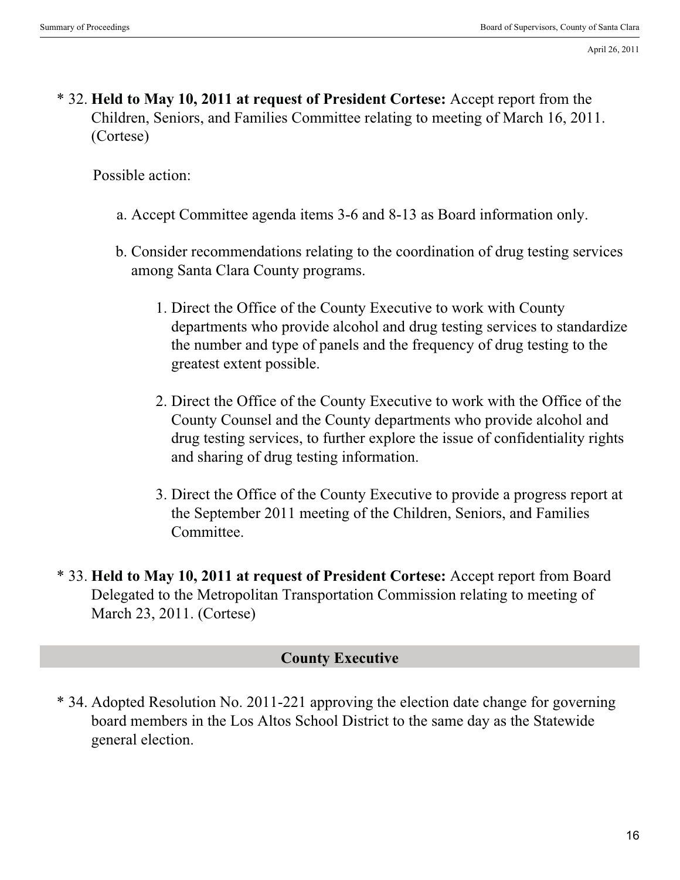\* 32. **Held to May 10, 2011 at request of President Cortese:** Accept report from the Children, Seniors, and Families Committee relating to meeting of March 16, 2011. (Cortese)

Possible action:

- a. Accept Committee agenda items 3-6 and 8-13 as Board information only.
- b. Consider recommendations relating to the coordination of drug testing services among Santa Clara County programs.
	- 1. Direct the Office of the County Executive to work with County departments who provide alcohol and drug testing services to standardize the number and type of panels and the frequency of drug testing to the greatest extent possible.
	- 2. Direct the Office of the County Executive to work with the Office of the County Counsel and the County departments who provide alcohol and drug testing services, to further explore the issue of confidentiality rights and sharing of drug testing information.
	- Direct the Office of the County Executive to provide a progress report at 3. the September 2011 meeting of the Children, Seniors, and Families Committee.
- \* 33. **Held to May 10, 2011 at request of President Cortese:** Accept report from Board Delegated to the Metropolitan Transportation Commission relating to meeting of March 23, 2011. (Cortese)

#### **County Executive**

\* 34. Adopted Resolution No. 2011-221 approving the election date change for governing board members in the Los Altos School District to the same day as the Statewide general election.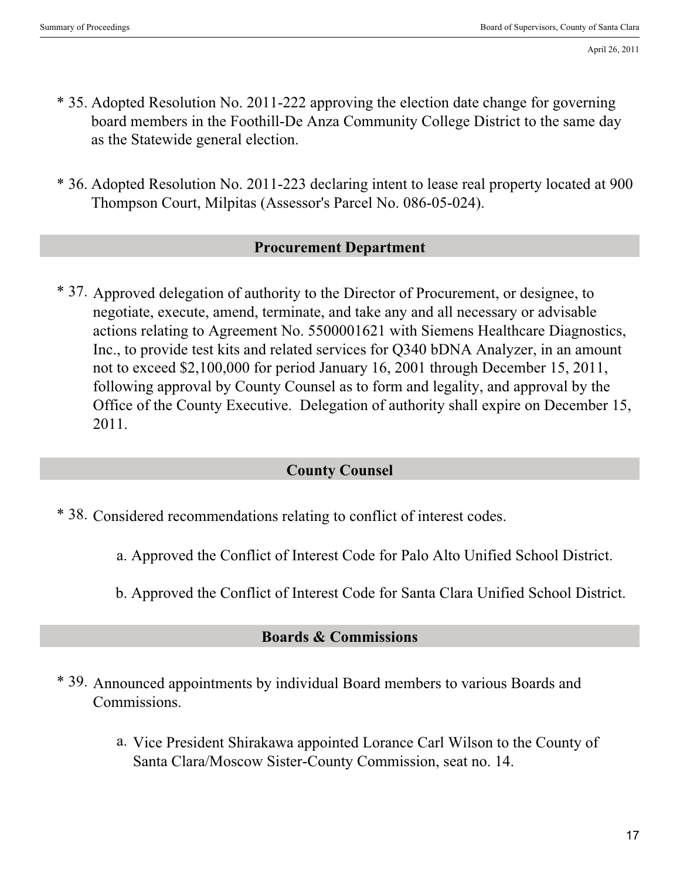- \* 35. Adopted Resolution No. 2011-222 approving the election date change for governing board members in the Foothill-De Anza Community College District to the same day as the Statewide general election.
- \* 36. Adopted Resolution No. 2011-223 declaring intent to lease real property located at 900 Thompson Court, Milpitas (Assessor's Parcel No. 086-05-024).

#### **Procurement Department**

\* 37. Approved delegation of authority to the Director of Procurement, or designee, to negotiate, execute, amend, terminate, and take any and all necessary or advisable actions relating to Agreement No. 5500001621 with Siemens Healthcare Diagnostics, Inc., to provide test kits and related services for Q340 bDNA Analyzer, in an amount not to exceed \$2,100,000 for period January 16, 2001 through December 15, 2011, following approval by County Counsel as to form and legality, and approval by the Office of the County Executive. Delegation of authority shall expire on December 15, 2011.

#### **County Counsel**

- \* 38. Considered recommendations relating to conflict of interest codes.
	- a. Approved the Conflict of Interest Code for Palo Alto Unified School District.
	- b. Approved the Conflict of Interest Code for Santa Clara Unified School District.

## **Boards & Commissions**

- \* 39. Announced appointments by individual Board members to various Boards and Commissions.
	- a. Vice President Shirakawa appointed Lorance Carl Wilson to the County of Santa Clara/Moscow Sister-County Commission, seat no. 14.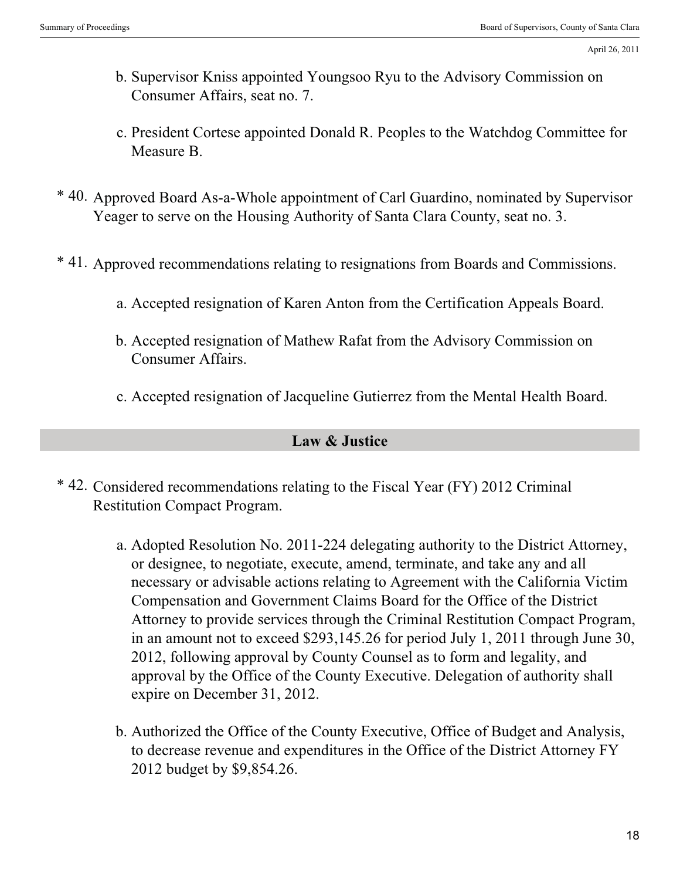- b. Supervisor Kniss appointed Youngsoo Ryu to the Advisory Commission on Consumer Affairs, seat no. 7.
- c. President Cortese appointed Donald R. Peoples to the Watchdog Committee for Measure B.
- \* 40. Approved Board As-a-Whole appointment of Carl Guardino, nominated by Supervisor Yeager to serve on the Housing Authority of Santa Clara County, seat no. 3.
- \* 41. Approved recommendations relating to resignations from Boards and Commissions.
	- a. Accepted resignation of Karen Anton from the Certification Appeals Board.
	- b. Accepted resignation of Mathew Rafat from the Advisory Commission on Consumer Affairs.
	- c. Accepted resignation of Jacqueline Gutierrez from the Mental Health Board.

### **Law & Justice**

- \* 42. Considered recommendations relating to the Fiscal Year (FY) 2012 Criminal Restitution Compact Program.
	- Adopted Resolution No. 2011-224 delegating authority to the District Attorney, a. or designee, to negotiate, execute, amend, terminate, and take any and all necessary or advisable actions relating to Agreement with the California Victim Compensation and Government Claims Board for the Office of the District Attorney to provide services through the Criminal Restitution Compact Program, in an amount not to exceed \$293,145.26 for period July 1, 2011 through June 30, 2012, following approval by County Counsel as to form and legality, and approval by the Office of the County Executive. Delegation of authority shall expire on December 31, 2012.
	- b. Authorized the Office of the County Executive, Office of Budget and Analysis, to decrease revenue and expenditures in the Office of the District Attorney FY 2012 budget by \$9,854.26.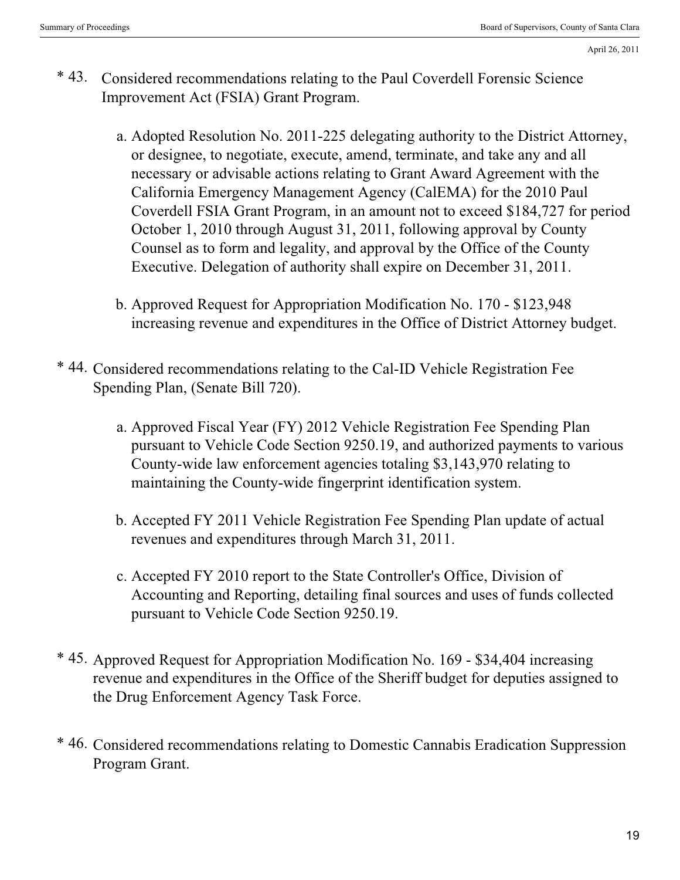- \* 43. Considered recommendations relating to the Paul Coverdell Forensic Science Improvement Act (FSIA) Grant Program.
	- Adopted Resolution No. 2011-225 delegating authority to the District Attorney, a. or designee, to negotiate, execute, amend, terminate, and take any and all necessary or advisable actions relating to Grant Award Agreement with the California Emergency Management Agency (CalEMA) for the 2010 Paul Coverdell FSIA Grant Program, in an amount not to exceed \$184,727 for period October 1, 2010 through August 31, 2011, following approval by County Counsel as to form and legality, and approval by the Office of the County Executive. Delegation of authority shall expire on December 31, 2011.
	- b. Approved Request for Appropriation Modification No. 170 \$123,948 increasing revenue and expenditures in the Office of District Attorney budget.
- \* 44. Considered recommendations relating to the Cal-ID Vehicle Registration Fee Spending Plan, (Senate Bill 720).
	- a. Approved Fiscal Year (FY) 2012 Vehicle Registration Fee Spending Plan pursuant to Vehicle Code Section 9250.19, and authorized payments to various County-wide law enforcement agencies totaling \$3,143,970 relating to maintaining the County-wide fingerprint identification system.
	- b. Accepted FY 2011 Vehicle Registration Fee Spending Plan update of actual revenues and expenditures through March 31, 2011.
	- c. Accepted FY 2010 report to the State Controller's Office, Division of Accounting and Reporting, detailing final sources and uses of funds collected pursuant to Vehicle Code Section 9250.19.
- \* 45. Approved Request for Appropriation Modification No. 169 \$34,404 increasing revenue and expenditures in the Office of the Sheriff budget for deputies assigned to the Drug Enforcement Agency Task Force.
- \* 46. Considered recommendations relating to Domestic Cannabis Eradication Suppression Program Grant.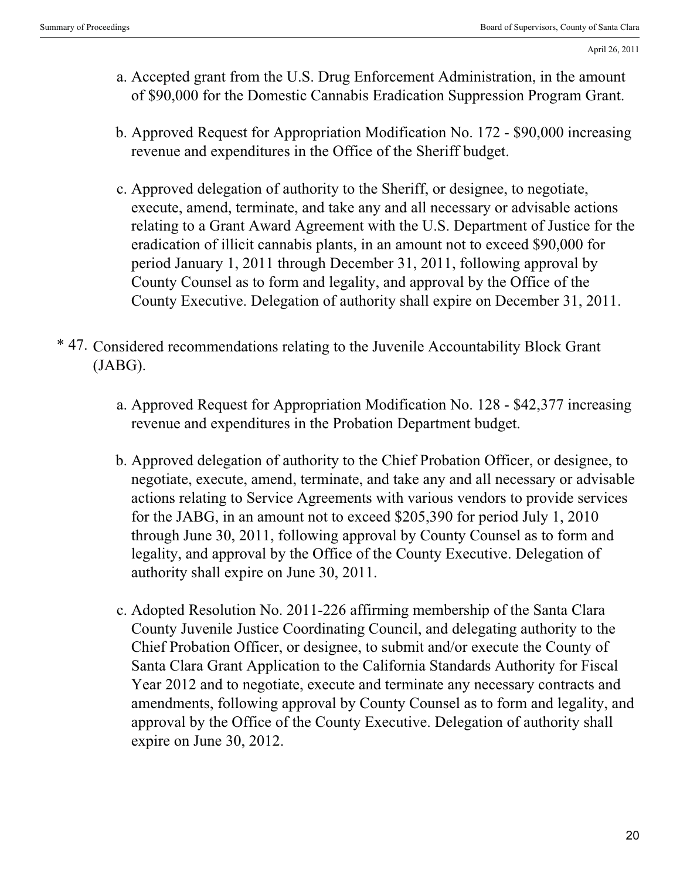- Accepted grant from the U.S. Drug Enforcement Administration, in the amount a. of \$90,000 for the Domestic Cannabis Eradication Suppression Program Grant.
- b. Approved Request for Appropriation Modification No. 172 \$90,000 increasing revenue and expenditures in the Office of the Sheriff budget.
- c. Approved delegation of authority to the Sheriff, or designee, to negotiate, execute, amend, terminate, and take any and all necessary or advisable actions relating to a Grant Award Agreement with the U.S. Department of Justice for the eradication of illicit cannabis plants, in an amount not to exceed \$90,000 for period January 1, 2011 through December 31, 2011, following approval by County Counsel as to form and legality, and approval by the Office of the County Executive. Delegation of authority shall expire on December 31, 2011.
- \* 47. Considered recommendations relating to the Juvenile Accountability Block Grant (JABG).
	- a. Approved Request for Appropriation Modification No. 128 \$42,377 increasing revenue and expenditures in the Probation Department budget.
	- b. Approved delegation of authority to the Chief Probation Officer, or designee, to negotiate, execute, amend, terminate, and take any and all necessary or advisable actions relating to Service Agreements with various vendors to provide services for the JABG, in an amount not to exceed \$205,390 for period July 1, 2010 through June 30, 2011, following approval by County Counsel as to form and legality, and approval by the Office of the County Executive. Delegation of authority shall expire on June 30, 2011.
	- c. Adopted Resolution No. 2011-226 affirming membership of the Santa Clara County Juvenile Justice Coordinating Council, and delegating authority to the Chief Probation Officer, or designee, to submit and/or execute the County of Santa Clara Grant Application to the California Standards Authority for Fiscal Year 2012 and to negotiate, execute and terminate any necessary contracts and amendments, following approval by County Counsel as to form and legality, and approval by the Office of the County Executive. Delegation of authority shall expire on June 30, 2012.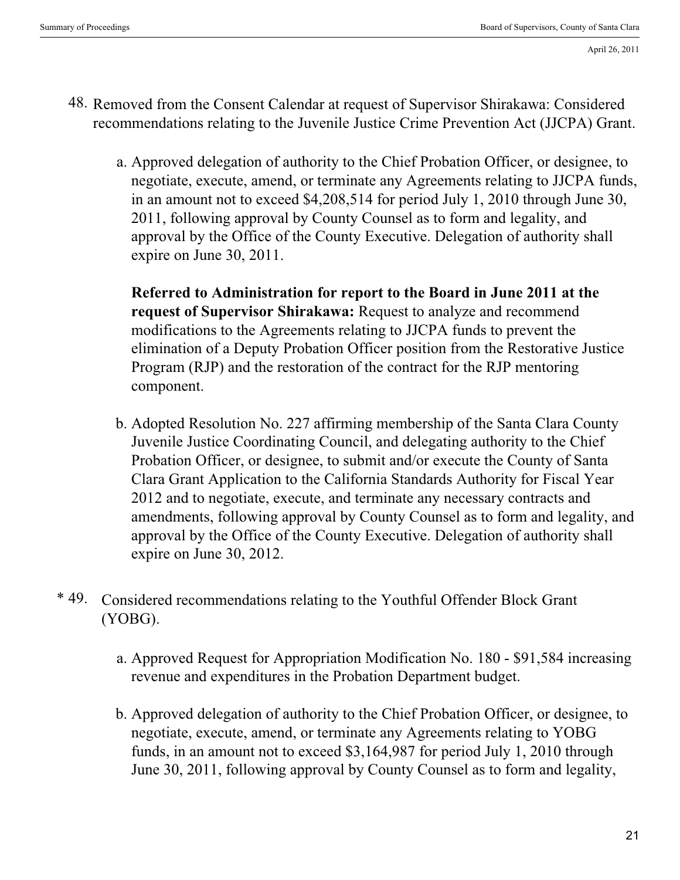- 48. Removed from the Consent Calendar at request of Supervisor Shirakawa: Considered recommendations relating to the Juvenile Justice Crime Prevention Act (JJCPA) Grant.
	- a. Approved delegation of authority to the Chief Probation Officer, or designee, to negotiate, execute, amend, or terminate any Agreements relating to JJCPA funds, in an amount not to exceed \$4,208,514 for period July 1, 2010 through June 30, 2011, following approval by County Counsel as to form and legality, and approval by the Office of the County Executive. Delegation of authority shall expire on June 30, 2011.

**Referred to Administration for report to the Board in June 2011 at the request of Supervisor Shirakawa:** Request to analyze and recommend modifications to the Agreements relating to JJCPA funds to prevent the elimination of a Deputy Probation Officer position from the Restorative Justice Program (RJP) and the restoration of the contract for the RJP mentoring component.

- Adopted Resolution No. 227 affirming membership of the Santa Clara County b. Juvenile Justice Coordinating Council, and delegating authority to the Chief Probation Officer, or designee, to submit and/or execute the County of Santa Clara Grant Application to the California Standards Authority for Fiscal Year 2012 and to negotiate, execute, and terminate any necessary contracts and amendments, following approval by County Counsel as to form and legality, and approval by the Office of the County Executive. Delegation of authority shall expire on June 30, 2012.
- \* 49. . Considered recommendations relating to the Youthful Offender Block Grant (YOBG).
	- a. Approved Request for Appropriation Modification No. 180 \$91,584 increasing revenue and expenditures in the Probation Department budget.
	- b. Approved delegation of authority to the Chief Probation Officer, or designee, to negotiate, execute, amend, or terminate any Agreements relating to YOBG funds, in an amount not to exceed \$3,164,987 for period July 1, 2010 through June 30, 2011, following approval by County Counsel as to form and legality,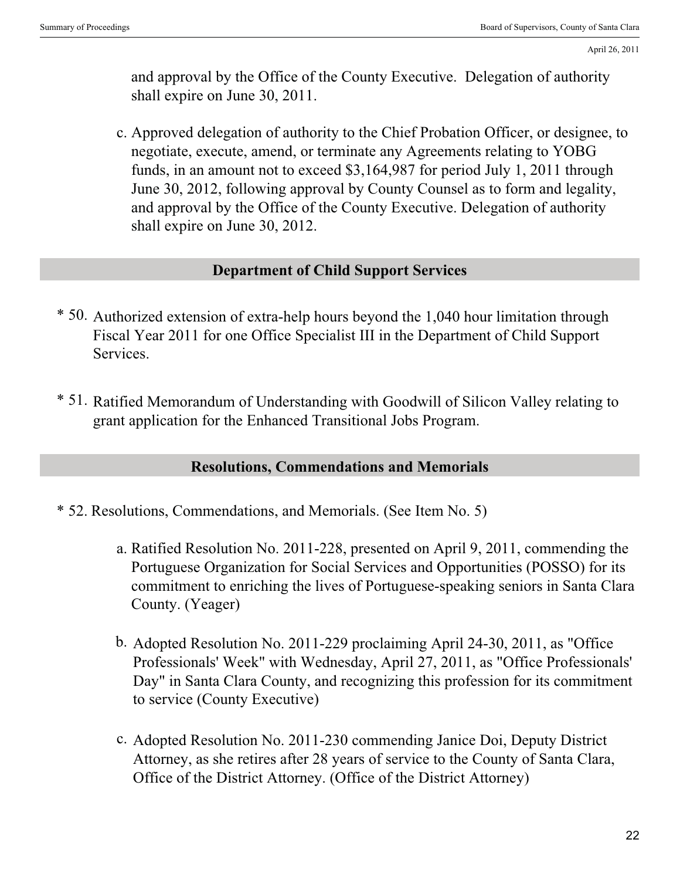and approval by the Office of the County Executive. Delegation of authority shall expire on June 30, 2011.

c. Approved delegation of authority to the Chief Probation Officer, or designee, to negotiate, execute, amend, or terminate any Agreements relating to YOBG funds, in an amount not to exceed \$3,164,987 for period July 1, 2011 through June 30, 2012, following approval by County Counsel as to form and legality, and approval by the Office of the County Executive. Delegation of authority shall expire on June 30, 2012.

#### **Department of Child Support Services**

- \* 50. Authorized extension of extra-help hours beyond the 1,040 hour limitation through Fiscal Year 2011 for one Office Specialist III in the Department of Child Support Services.
- \* 51. Ratified Memorandum of Understanding with Goodwill of Silicon Valley relating to grant application for the Enhanced Transitional Jobs Program.

### **Resolutions, Commendations and Memorials**

- \* 52. Resolutions, Commendations, and Memorials. (See Item No. 5)
	- a. Ratified Resolution No. 2011-228, presented on April 9, 2011, commending the Portuguese Organization for Social Services and Opportunities (POSSO) for its commitment to enriching the lives of Portuguese-speaking seniors in Santa Clara County. (Yeager)
	- b. Adopted Resolution No. 2011-229 proclaiming April 24-30, 2011, as "Office Professionals' Week" with Wednesday, April 27, 2011, as "Office Professionals' Day" in Santa Clara County, and recognizing this profession for its commitment to service (County Executive)
	- c. Adopted Resolution No. 2011-230 commending Janice Doi, Deputy District Attorney, as she retires after 28 years of service to the County of Santa Clara, Office of the District Attorney. (Office of the District Attorney)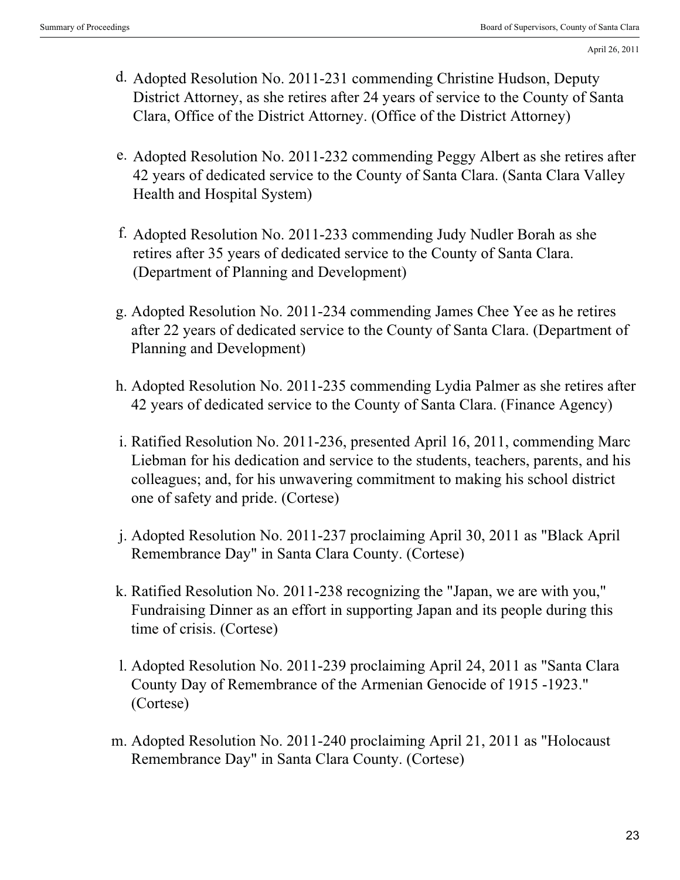- d. Adopted Resolution No. 2011-231 commending Christine Hudson, Deputy District Attorney, as she retires after 24 years of service to the County of Santa Clara, Office of the District Attorney. (Office of the District Attorney)
- e. Adopted Resolution No. 2011-232 commending Peggy Albert as she retires after 42 years of dedicated service to the County of Santa Clara. (Santa Clara Valley Health and Hospital System)
- f. Adopted Resolution No. 2011-233 commending Judy Nudler Borah as she retires after 35 years of dedicated service to the County of Santa Clara. (Department of Planning and Development)
- Adopted Resolution No. 2011-234 commending James Chee Yee as he retires g. after 22 years of dedicated service to the County of Santa Clara. (Department of Planning and Development)
- Adopted Resolution No. 2011-235 commending Lydia Palmer as she retires after h. 42 years of dedicated service to the County of Santa Clara. (Finance Agency)
- i. Ratified Resolution No. 2011-236, presented April 16, 2011, commending Marc Liebman for his dedication and service to the students, teachers, parents, and his colleagues; and, for his unwavering commitment to making his school district one of safety and pride. (Cortese)
- Adopted Resolution No. 2011-237 proclaiming April 30, 2011 as "Black April j. Remembrance Day" in Santa Clara County. (Cortese)
- k. Ratified Resolution No. 2011-238 recognizing the "Japan, we are with you," Fundraising Dinner as an effort in supporting Japan and its people during this time of crisis. (Cortese)
- l. Adopted Resolution No. 2011-239 proclaiming April 24, 2011 as "Santa Clara County Day of Remembrance of the Armenian Genocide of 1915 -1923." (Cortese)
- Adopted Resolution No. 2011-240 proclaiming April 21, 2011 as "Holocaust m. Remembrance Day" in Santa Clara County. (Cortese)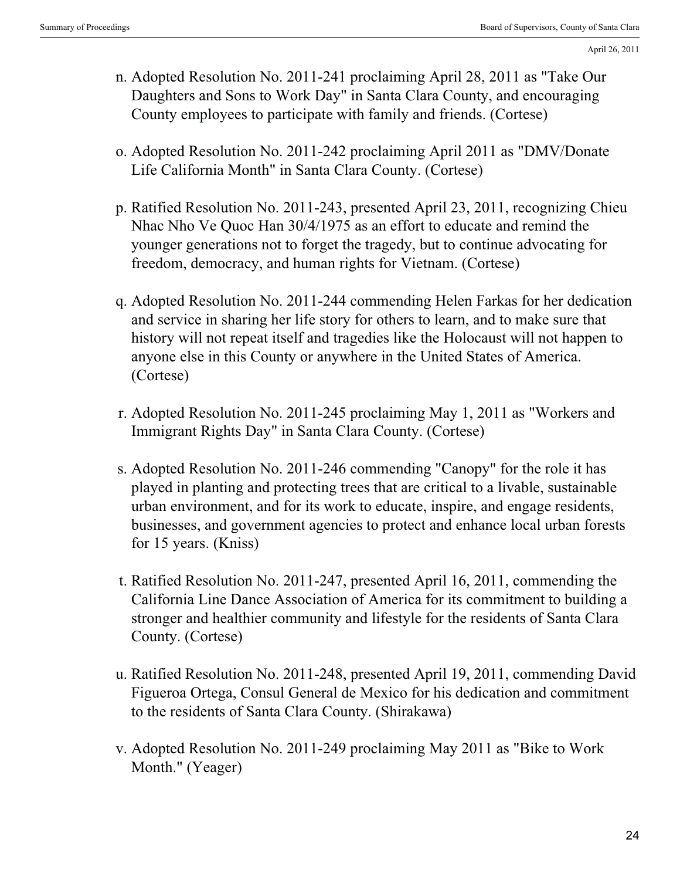- Adopted Resolution No. 2011-241 proclaiming April 28, 2011 as "Take Our n. Daughters and Sons to Work Day" in Santa Clara County, and encouraging County employees to participate with family and friends. (Cortese)
- o. Adopted Resolution No. 2011-242 proclaiming April 2011 as "DMV/Donate Life California Month" in Santa Clara County. (Cortese)
- p. Ratified Resolution No. 2011-243, presented April 23, 2011, recognizing Chieu Nhac Nho Ve Quoc Han 30/4/1975 as an effort to educate and remind the younger generations not to forget the tragedy, but to continue advocating for freedom, democracy, and human rights for Vietnam. (Cortese)
- Adopted Resolution No. 2011-244 commending Helen Farkas for her dedication q. and service in sharing her life story for others to learn, and to make sure that history will not repeat itself and tragedies like the Holocaust will not happen to anyone else in this County or anywhere in the United States of America. (Cortese)
- r. Adopted Resolution No. 2011-245 proclaiming May 1, 2011 as "Workers and Immigrant Rights Day" in Santa Clara County. (Cortese)
- s. Adopted Resolution No. 2011-246 commending "Canopy" for the role it has played in planting and protecting trees that are critical to a livable, sustainable urban environment, and for its work to educate, inspire, and engage residents, businesses, and government agencies to protect and enhance local urban forests for 15 years. (Kniss)
- t. Ratified Resolution No. 2011-247, presented April 16, 2011, commending the California Line Dance Association of America for its commitment to building a stronger and healthier community and lifestyle for the residents of Santa Clara County. (Cortese)
- u. Ratified Resolution No. 2011-248, presented April 19, 2011, commending David Figueroa Ortega, Consul General de Mexico for his dedication and commitment to the residents of Santa Clara County. (Shirakawa)
- v. Adopted Resolution No. 2011-249 proclaiming May 2011 as "Bike to Work Month." (Yeager)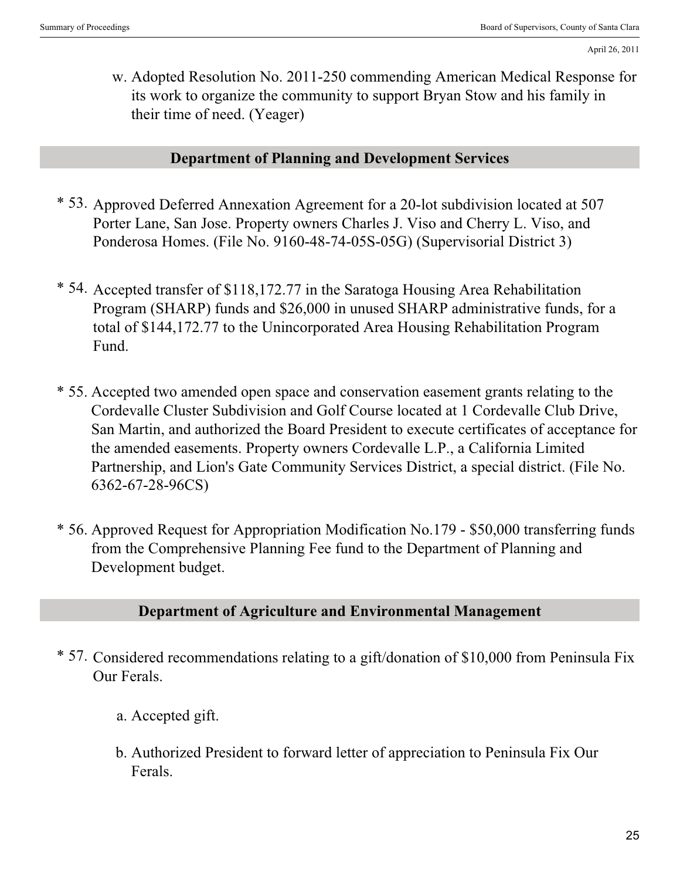Adopted Resolution No. 2011-250 commending American Medical Response for w. its work to organize the community to support Bryan Stow and his family in their time of need. (Yeager)

#### **Department of Planning and Development Services**

- \* 53. Approved Deferred Annexation Agreement for a 20-lot subdivision located at 507 Porter Lane, San Jose. Property owners Charles J. Viso and Cherry L. Viso, and Ponderosa Homes. (File No. 9160-48-74-05S-05G) (Supervisorial District 3)
- \* 54. Accepted transfer of \$118,172.77 in the Saratoga Housing Area Rehabilitation Program (SHARP) funds and \$26,000 in unused SHARP administrative funds, for a total of \$144,172.77 to the Unincorporated Area Housing Rehabilitation Program Fund.
- \* 55. Accepted two amended open space and conservation easement grants relating to the Cordevalle Cluster Subdivision and Golf Course located at 1 Cordevalle Club Drive, San Martin, and authorized the Board President to execute certificates of acceptance for the amended easements. Property owners Cordevalle L.P., a California Limited Partnership, and Lion's Gate Community Services District, a special district. (File No. 6362-67-28-96CS)
- \* 56. Approved Request for Appropriation Modification No.179 \$50,000 transferring funds from the Comprehensive Planning Fee fund to the Department of Planning and Development budget.

#### **Department of Agriculture and Environmental Management**

- \* 57. Considered recommendations relating to a gift/donation of \$10,000 from Peninsula Fix Our Ferals.
	- a. Accepted gift.
	- b. Authorized President to forward letter of appreciation to Peninsula Fix Our Ferals.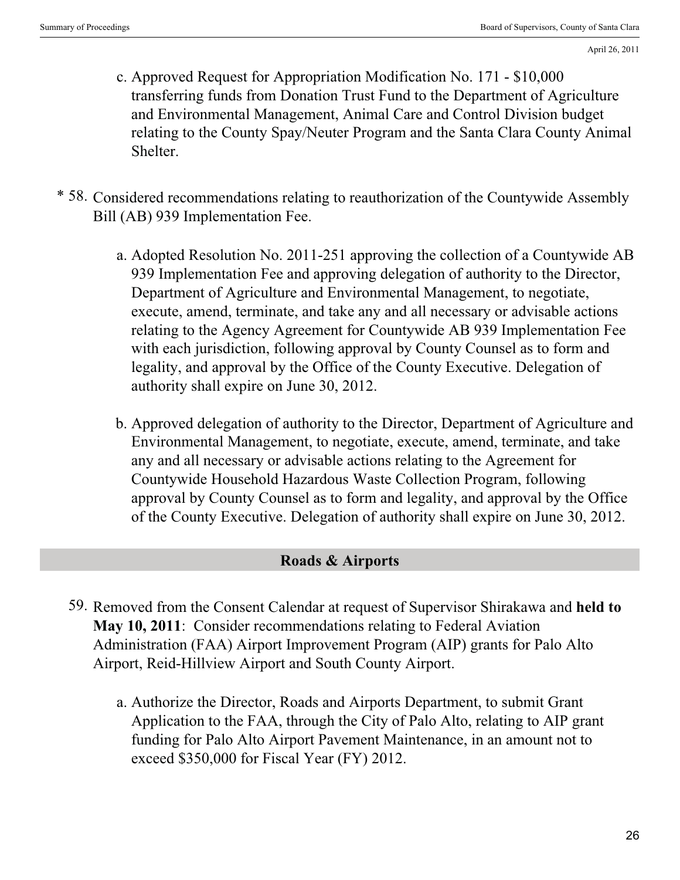- c. Approved Request for Appropriation Modification No. 171 \$10,000 transferring funds from Donation Trust Fund to the Department of Agriculture and Environmental Management, Animal Care and Control Division budget relating to the County Spay/Neuter Program and the Santa Clara County Animal Shelter.
- \* 58. Considered recommendations relating to reauthorization of the Countywide Assembly Bill (AB) 939 Implementation Fee.
	- Adopted Resolution No. 2011-251 approving the collection of a Countywide AB a. 939 Implementation Fee and approving delegation of authority to the Director, Department of Agriculture and Environmental Management, to negotiate, execute, amend, terminate, and take any and all necessary or advisable actions relating to the Agency Agreement for Countywide AB 939 Implementation Fee with each jurisdiction, following approval by County Counsel as to form and legality, and approval by the Office of the County Executive. Delegation of authority shall expire on June 30, 2012.
	- b. Approved delegation of authority to the Director, Department of Agriculture and Environmental Management, to negotiate, execute, amend, terminate, and take any and all necessary or advisable actions relating to the Agreement for Countywide Household Hazardous Waste Collection Program, following approval by County Counsel as to form and legality, and approval by the Office of the County Executive. Delegation of authority shall expire on June 30, 2012.

# **Roads & Airports**

- 59. Removed from the Consent Calendar at request of Supervisor Shirakawa and **held to May 10, 2011**: Consider recommendations relating to Federal Aviation Administration (FAA) Airport Improvement Program (AIP) grants for Palo Alto Airport, Reid-Hillview Airport and South County Airport.
	- Authorize the Director, Roads and Airports Department, to submit Grant a. Application to the FAA, through the City of Palo Alto, relating to AIP grant funding for Palo Alto Airport Pavement Maintenance, in an amount not to exceed \$350,000 for Fiscal Year (FY) 2012.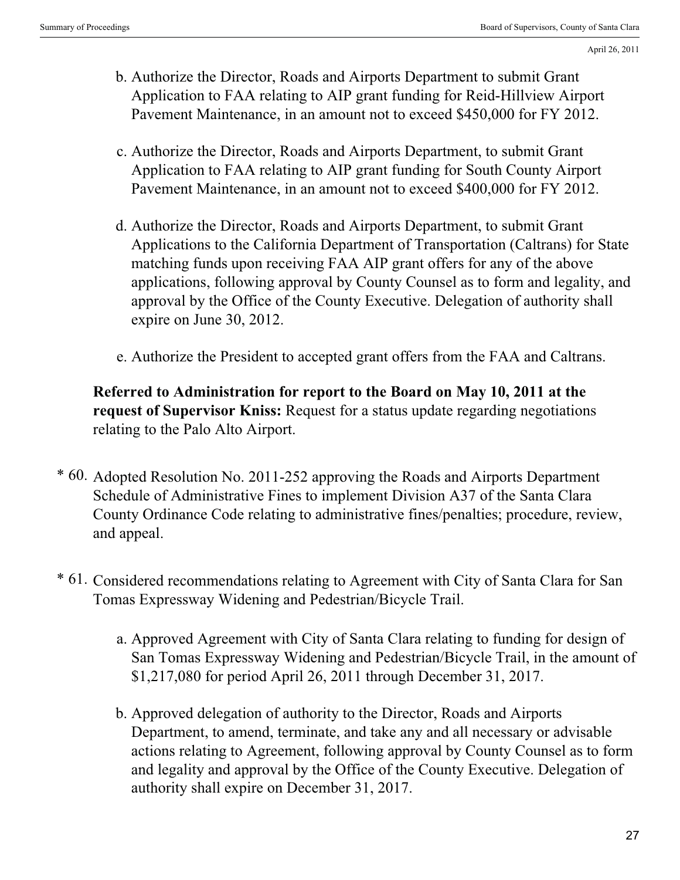- Authorize the Director, Roads and Airports Department to submit Grant b. Application to FAA relating to AIP grant funding for Reid-Hillview Airport Pavement Maintenance, in an amount not to exceed \$450,000 for FY 2012.
- c. Authorize the Director, Roads and Airports Department, to submit Grant Application to FAA relating to AIP grant funding for South County Airport Pavement Maintenance, in an amount not to exceed \$400,000 for FY 2012.
- d. Authorize the Director, Roads and Airports Department, to submit Grant Applications to the California Department of Transportation (Caltrans) for State matching funds upon receiving FAA AIP grant offers for any of the above applications, following approval by County Counsel as to form and legality, and approval by the Office of the County Executive. Delegation of authority shall expire on June 30, 2012.
- e. Authorize the President to accepted grant offers from the FAA and Caltrans.

**Referred to Administration for report to the Board on May 10, 2011 at the request of Supervisor Kniss:** Request for a status update regarding negotiations relating to the Palo Alto Airport.

- \* 60. Adopted Resolution No. 2011-252 approving the Roads and Airports Department Schedule of Administrative Fines to implement Division A37 of the Santa Clara County Ordinance Code relating to administrative fines/penalties; procedure, review, and appeal.
- \* 61. Considered recommendations relating to Agreement with City of Santa Clara for San Tomas Expressway Widening and Pedestrian/Bicycle Trail.
	- a. Approved Agreement with City of Santa Clara relating to funding for design of San Tomas Expressway Widening and Pedestrian/Bicycle Trail, in the amount of \$1,217,080 for period April 26, 2011 through December 31, 2017.
	- Approved delegation of authority to the Director, Roads and Airports b. Department, to amend, terminate, and take any and all necessary or advisable actions relating to Agreement, following approval by County Counsel as to form and legality and approval by the Office of the County Executive. Delegation of authority shall expire on December 31, 2017.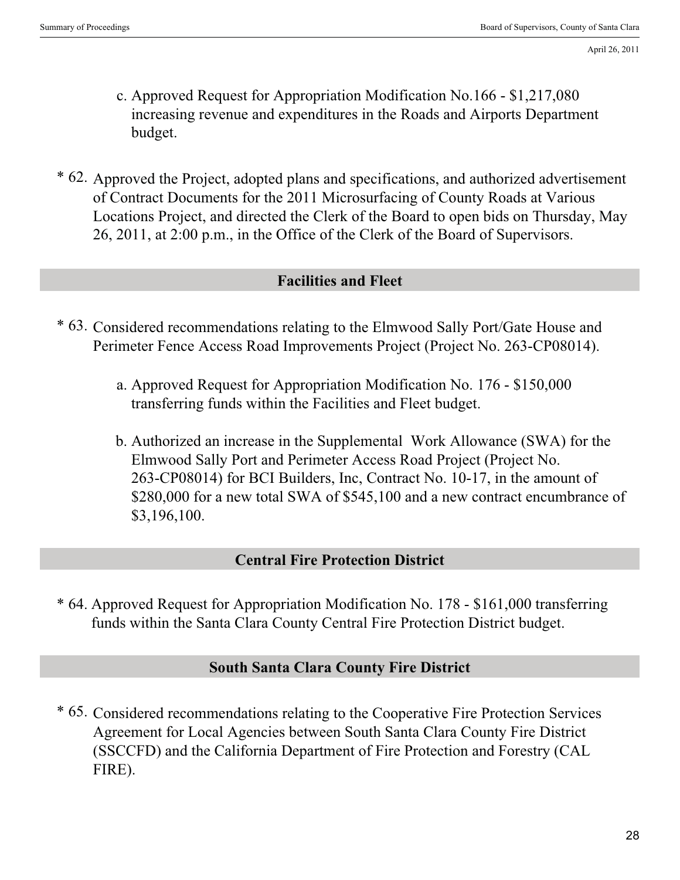- c. Approved Request for Appropriation Modification No.166 \$1,217,080 increasing revenue and expenditures in the Roads and Airports Department budget.
- \* 62. Approved the Project, adopted plans and specifications, and authorized advertisement of Contract Documents for the 2011 Microsurfacing of County Roads at Various Locations Project, and directed the Clerk of the Board to open bids on Thursday, May 26, 2011, at 2:00 p.m., in the Office of the Clerk of the Board of Supervisors.

#### **Facilities and Fleet**

- \* 63. Considered recommendations relating to the Elmwood Sally Port/Gate House and Perimeter Fence Access Road Improvements Project (Project No. 263-CP08014).
	- Approved Request for Appropriation Modification No. 176 \$150,000 a. transferring funds within the Facilities and Fleet budget.
	- Authorized an increase in the Supplemental Work Allowance (SWA) for the b. Elmwood Sally Port and Perimeter Access Road Project (Project No. 263-CP08014) for BCI Builders, Inc, Contract No. 10-17, in the amount of \$280,000 for a new total SWA of \$545,100 and a new contract encumbrance of \$3,196,100.

#### **Central Fire Protection District**

\* 64. Approved Request for Appropriation Modification No. 178 - \$161,000 transferring funds within the Santa Clara County Central Fire Protection District budget.

# **South Santa Clara County Fire District**

\* 65. Considered recommendations relating to the Cooperative Fire Protection Services Agreement for Local Agencies between South Santa Clara County Fire District (SSCCFD) and the California Department of Fire Protection and Forestry (CAL FIRE).